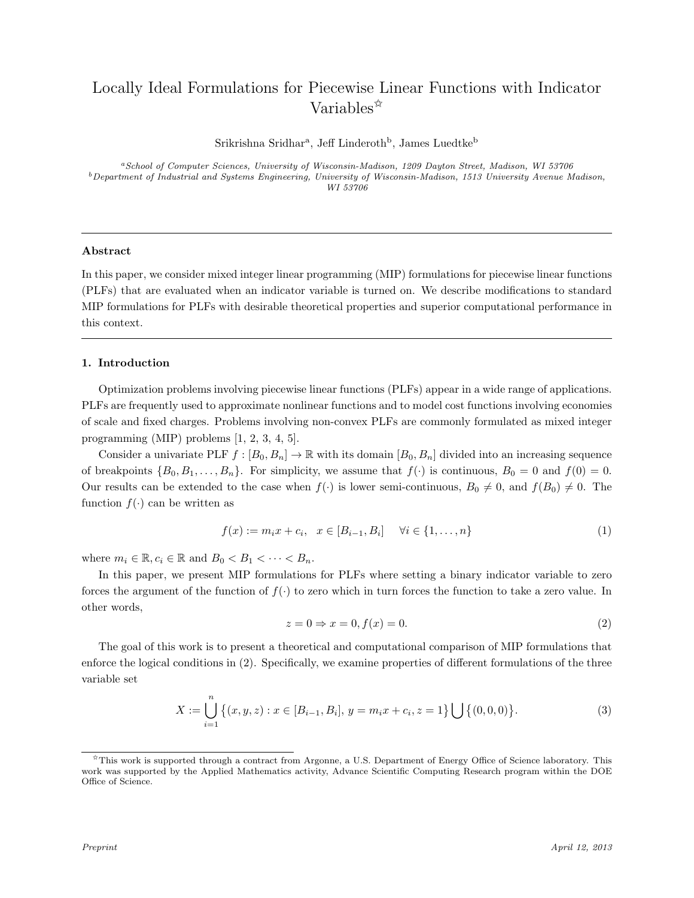# Locally Ideal Formulations for Piecewise Linear Functions with Indicator Variables<sup>\*</sup>

 $Srikrishna Sridhar<sup>a</sup>, Jeff Linderoth<sup>b</sup>, James Luedtke<sup>b</sup>$ 

<sup>a</sup>School of Computer Sciences, University of Wisconsin-Madison, 1209 Dayton Street, Madison, WI 53706  $b$ Department of Industrial and Systems Engineering, University of Wisconsin-Madison, 1513 University Avenue Madison, WI 53706

# Abstract

In this paper, we consider mixed integer linear programming (MIP) formulations for piecewise linear functions (PLFs) that are evaluated when an indicator variable is turned on. We describe modifications to standard MIP formulations for PLFs with desirable theoretical properties and superior computational performance in this context.

# 1. Introduction

Optimization problems involving piecewise linear functions (PLFs) appear in a wide range of applications. PLFs are frequently used to approximate nonlinear functions and to model cost functions involving economies of scale and fixed charges. Problems involving non-convex PLFs are commonly formulated as mixed integer programming (MIP) problems [1, 2, 3, 4, 5].

Consider a univariate PLF  $f : [B_0, B_n] \to \mathbb{R}$  with its domain  $[B_0, B_n]$  divided into an increasing sequence of breakpoints  $\{B_0, B_1, \ldots, B_n\}$ . For simplicity, we assume that  $f(\cdot)$  is continuous,  $B_0 = 0$  and  $f(0) = 0$ . Our results can be extended to the case when  $f(\cdot)$  is lower semi-continuous,  $B_0 \neq 0$ , and  $f(B_0) \neq 0$ . The function  $f(\cdot)$  can be written as

$$
f(x) := m_i x + c_i, \quad x \in [B_{i-1}, B_i] \quad \forall i \in \{1, ..., n\}
$$
 (1)

where  $m_i \in \mathbb{R}, c_i \in \mathbb{R}$  and  $B_0 < B_1 < \cdots < B_n$ .

In this paper, we present MIP formulations for PLFs where setting a binary indicator variable to zero forces the argument of the function of  $f(\cdot)$  to zero which in turn forces the function to take a zero value. In other words,

$$
z = 0 \Rightarrow x = 0, f(x) = 0. \tag{2}
$$

The goal of this work is to present a theoretical and computational comparison of MIP formulations that enforce the logical conditions in (2). Specifically, we examine properties of different formulations of the three variable set

$$
X := \bigcup_{i=1}^{n} \left\{ (x, y, z) : x \in [B_{i-1}, B_i], y = m_i x + c_i, z = 1 \right\} \bigcup \left\{ (0, 0, 0) \right\}.
$$
 (3)

<sup>✩</sup>This work is supported through a contract from Argonne, a U.S. Department of Energy Office of Science laboratory. This work was supported by the Applied Mathematics activity, Advance Scientific Computing Research program within the DOE Office of Science.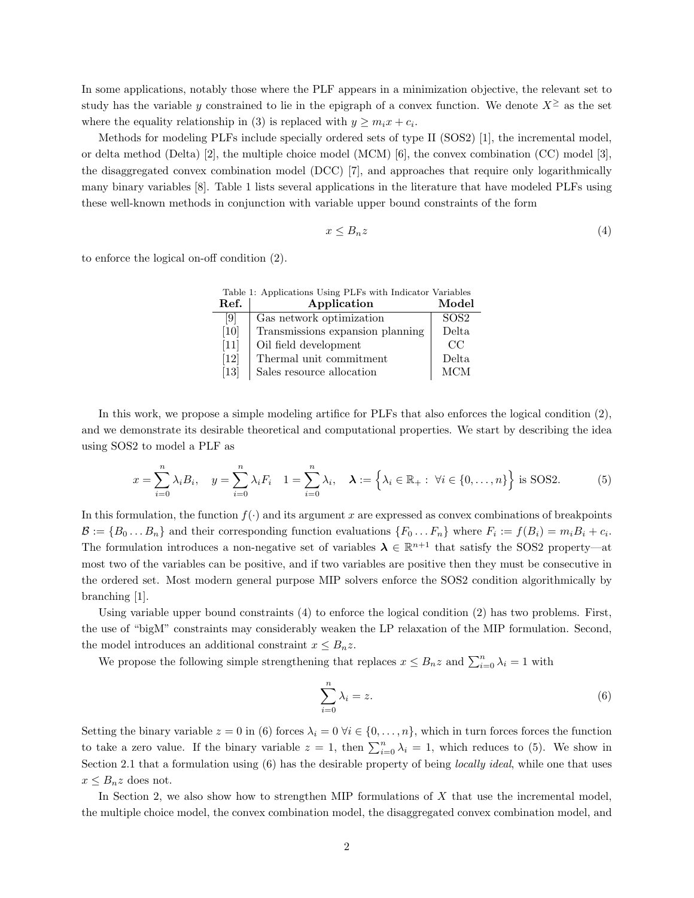In some applications, notably those where the PLF appears in a minimization objective, the relevant set to study has the variable y constrained to lie in the epigraph of a convex function. We denote  $X^{\geq}$  as the set where the equality relationship in (3) is replaced with  $y \geq m_i x + c_i$ .

Methods for modeling PLFs include specially ordered sets of type II (SOS2) [1], the incremental model, or delta method (Delta) [2], the multiple choice model (MCM) [6], the convex combination (CC) model [3], the disaggregated convex combination model (DCC) [7], and approaches that require only logarithmically many binary variables [8]. Table 1 lists several applications in the literature that have modeled PLFs using these well-known methods in conjunction with variable upper bound constraints of the form

$$
x \le B_n z \tag{4}
$$

to enforce the logical on-off condition (2).

| Table 1: Applications Using PLFs with Indicator Variables |                                  |                   |  |  |  |
|-----------------------------------------------------------|----------------------------------|-------------------|--|--|--|
| Ref.                                                      | Application                      | Model             |  |  |  |
| $\left[ 9 \right]$                                        | Gas network optimization         | SO <sub>S</sub> 2 |  |  |  |
| [10]                                                      | Transmissions expansion planning | Delta             |  |  |  |
| $[11]$                                                    | Oil field development            | CC                |  |  |  |
| [12]                                                      | Thermal unit commitment          | Delta.            |  |  |  |
| $[13]$                                                    | Sales resource allocation        | <b>MCM</b>        |  |  |  |

In this work, we propose a simple modeling artifice for PLFs that also enforces the logical condition (2), and we demonstrate its desirable theoretical and computational properties. We start by describing the idea using SOS2 to model a PLF as

$$
x = \sum_{i=0}^{n} \lambda_i B_i, \quad y = \sum_{i=0}^{n} \lambda_i F_i \quad 1 = \sum_{i=0}^{n} \lambda_i, \quad \lambda := \left\{ \lambda_i \in \mathbb{R}_+ : \forall i \in \{0, \dots, n\} \right\} \text{ is SOS2.}
$$
 (5)

In this formulation, the function  $f(\cdot)$  and its argument x are expressed as convex combinations of breakpoints  $\mathcal{B} := \{B_0 \dots B_n\}$  and their corresponding function evaluations  $\{F_0 \dots F_n\}$  where  $F_i := f(B_i) = m_i B_i + c_i$ . The formulation introduces a non-negative set of variables  $\lambda \in \mathbb{R}^{n+1}$  that satisfy the SOS2 property—at most two of the variables can be positive, and if two variables are positive then they must be consecutive in the ordered set. Most modern general purpose MIP solvers enforce the SOS2 condition algorithmically by branching [1].

Using variable upper bound constraints (4) to enforce the logical condition (2) has two problems. First, the use of "bigM" constraints may considerably weaken the LP relaxation of the MIP formulation. Second, the model introduces an additional constraint  $x \leq B_n z$ .

We propose the following simple strengthening that replaces  $x \leq B_n z$  and  $\sum_{i=0}^n \lambda_i = 1$  with

$$
\sum_{i=0}^{n} \lambda_i = z.
$$
\n(6)

Setting the binary variable  $z = 0$  in (6) forces  $\lambda_i = 0$   $\forall i \in \{0, ..., n\}$ , which in turn forces forces the function to take a zero value. If the binary variable  $z = 1$ , then  $\sum_{i=0}^{n} \lambda_i = 1$ , which reduces to (5). We show in Section 2.1 that a formulation using (6) has the desirable property of being *locally ideal*, while one that uses  $x \leq B_n z$  does not.

In Section 2, we also show how to strengthen MIP formulations of  $X$  that use the incremental model, the multiple choice model, the convex combination model, the disaggregated convex combination model, and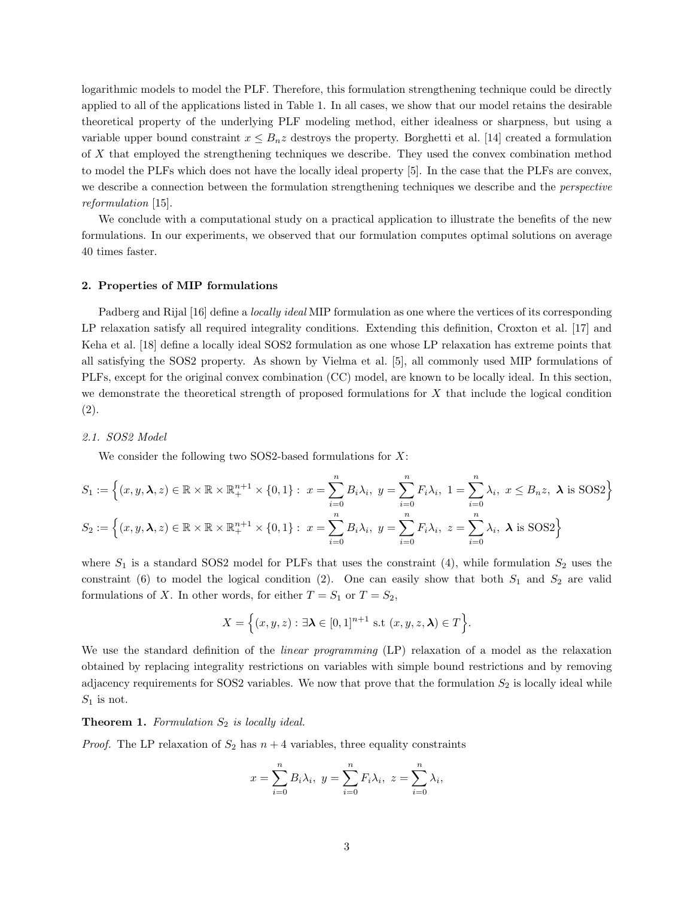logarithmic models to model the PLF. Therefore, this formulation strengthening technique could be directly applied to all of the applications listed in Table 1. In all cases, we show that our model retains the desirable theoretical property of the underlying PLF modeling method, either idealness or sharpness, but using a variable upper bound constraint  $x \leq B_n z$  destroys the property. Borghetti et al. [14] created a formulation of X that employed the strengthening techniques we describe. They used the convex combination method to model the PLFs which does not have the locally ideal property [5]. In the case that the PLFs are convex, we describe a connection between the formulation strengthening techniques we describe and the *perspective* reformulation [15].

We conclude with a computational study on a practical application to illustrate the benefits of the new formulations. In our experiments, we observed that our formulation computes optimal solutions on average 40 times faster.

# 2. Properties of MIP formulations

Padberg and Rijal [16] define a *locally ideal* MIP formulation as one where the vertices of its corresponding LP relaxation satisfy all required integrality conditions. Extending this definition, Croxton et al. [17] and Keha et al. [18] define a locally ideal SOS2 formulation as one whose LP relaxation has extreme points that all satisfying the SOS2 property. As shown by Vielma et al. [5], all commonly used MIP formulations of PLFs, except for the original convex combination (CC) model, are known to be locally ideal. In this section, we demonstrate the theoretical strength of proposed formulations for X that include the logical condition (2).

2.1. SOS2 Model

We consider the following two SOS2-based formulations for  $X$ :

$$
S_1 := \left\{ (x, y, \lambda, z) \in \mathbb{R} \times \mathbb{R} \times \mathbb{R}^{n+1} \times \{0, 1\} : \ x = \sum_{i=0}^n B_i \lambda_i, \ y = \sum_{i=0}^n F_i \lambda_i, \ 1 = \sum_{i=0}^n \lambda_i, \ x \le B_n z, \ \lambda \text{ is SOS2} \right\}
$$

$$
S_2 := \left\{ (x, y, \lambda, z) \in \mathbb{R} \times \mathbb{R} \times \mathbb{R}^{n+1} \times \{0, 1\} : \ x = \sum_{i=0}^n B_i \lambda_i, \ y = \sum_{i=0}^n F_i \lambda_i, \ z = \sum_{i=0}^n \lambda_i, \ \lambda \text{ is SOS2} \right\}
$$

where  $S_1$  is a standard SOS2 model for PLFs that uses the constraint (4), while formulation  $S_2$  uses the constraint (6) to model the logical condition (2). One can easily show that both  $S_1$  and  $S_2$  are valid formulations of X. In other words, for either  $T = S_1$  or  $T = S_2$ ,

$$
X = \Big\{ (x, y, z) : \exists \lambda \in [0, 1]^{n+1} \text{ s.t } (x, y, z, \lambda) \in T \Big\}.
$$

We use the standard definition of the *linear programming* (LP) relaxation of a model as the relaxation obtained by replacing integrality restrictions on variables with simple bound restrictions and by removing adjacency requirements for SOS2 variables. We now that prove that the formulation  $S_2$  is locally ideal while  $S_1$  is not.

**Theorem 1.** Formulation  $S_2$  is locally ideal.

*Proof.* The LP relaxation of  $S_2$  has  $n + 4$  variables, three equality constraints

$$
x = \sum_{i=0}^{n} B_i \lambda_i, \ y = \sum_{i=0}^{n} F_i \lambda_i, \ z = \sum_{i=0}^{n} \lambda_i,
$$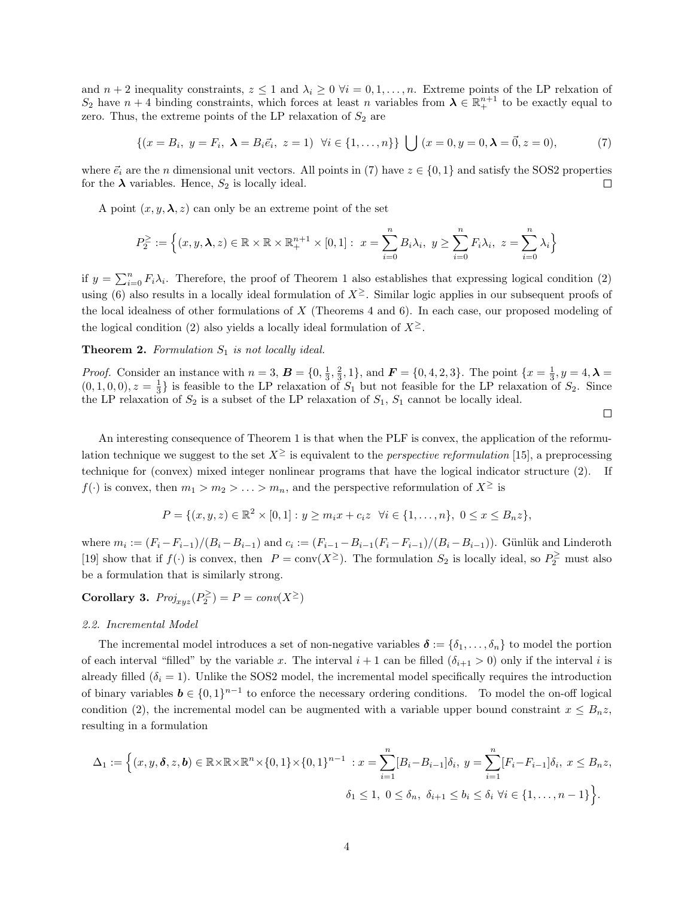and  $n + 2$  inequality constraints,  $z \le 1$  and  $\lambda_i \ge 0$   $\forall i = 0, 1, \ldots, n$ . Extreme points of the LP relxation of  $S_2$  have  $n+4$  binding constraints, which forces at least n variables from  $\lambda \in \mathbb{R}^{n+1}_+$  to be exactly equal to zero. Thus, the extreme points of the LP relaxation of  $S_2$  are

$$
\{(x = B_i, y = F_i, \lambda = B_i \vec{e}_i, z = 1) \forall i \in \{1, ..., n\}\} \bigcup (x = 0, y = 0, \lambda = \vec{0}, z = 0),
$$
 (7)

where  $\vec{e}_i$  are the n dimensional unit vectors. All points in (7) have  $z \in \{0, 1\}$  and satisfy the SOS2 properties for the  $\lambda$  variables. Hence,  $S_2$  is locally ideal. □

A point  $(x, y, \lambda, z)$  can only be an extreme point of the set

$$
P_2^{\geq}:=\Big\{(x,y,\pmb{\lambda},z)\in\mathbb{R}\times\mathbb{R}\times\mathbb{R}^{n+1}_+\times[0,1]:\ x=\sum_{i=0}^nB_i\lambda_i,\ y\geq\sum_{i=0}^nF_i\lambda_i,\ z=\sum_{i=0}^n\lambda_i\Big\}
$$

if  $y = \sum_{i=0}^{n} F_i \lambda_i$ . Therefore, the proof of Theorem 1 also establishes that expressing logical condition (2) using (6) also results in a locally ideal formulation of  $X^{\geq}$ . Similar logic applies in our subsequent proofs of the local idealness of other formulations of  $X$  (Theorems 4 and 6). In each case, our proposed modeling of the logical condition (2) also yields a locally ideal formulation of  $X^{\geq}$ .

### **Theorem 2.** Formulation  $S_1$  is not locally ideal.

*Proof.* Consider an instance with  $n = 3$ ,  $\mathbf{B} = \{0, \frac{1}{3}, \frac{2}{3}, 1\}$ , and  $\mathbf{F} = \{0, 4, 2, 3\}$ . The point  $\{x = \frac{1}{3}, y = 4, \lambda = \frac{1}{3}\}$  $(0, 1, 0, 0), z = \frac{1}{3}$  is feasible to the LP relaxation of  $S_1$  but not feasible for the LP relaxation of  $S_2$ . Since the LP relaxation of  $S_2$  is a subset of the LP relaxation of  $S_1$ ,  $S_1$  cannot be locally ideal.

 $\Box$ 

An interesting consequence of Theorem 1 is that when the PLF is convex, the application of the reformulation technique we suggest to the set  $X^{\geq}$  is equivalent to the *perspective reformulation* [15], a preprocessing technique for (convex) mixed integer nonlinear programs that have the logical indicator structure (2). If  $f(\cdot)$  is convex, then  $m_1 > m_2 > \ldots > m_n$ , and the perspective reformulation of  $X^{\geq}$  is

$$
P = \{(x, y, z) \in \mathbb{R}^2 \times [0, 1] : y \ge m_i x + c_i z \ \forall i \in \{1, ..., n\}, \ 0 \le x \le B_n z\},\
$$

where  $m_i := (F_i - F_{i-1})/(B_i - B_{i-1})$  and  $c_i := (F_{i-1} - B_{i-1}(F_i - F_{i-1})/(B_i - B_{i-1}))$ . Günlük and Linderoth [19] show that if  $f(\cdot)$  is convex, then  $P = \text{conv}(X^{\geq})$ . The formulation  $S_2$  is locally ideal, so  $P_2^{\geq}$  must also be a formulation that is similarly strong.

Corollary 3.  $Proj_{xyz}(P_2^{\geq}) = P = conv(X^{\geq})$ 

#### 2.2. Incremental Model

The incremental model introduces a set of non-negative variables  $\delta := {\delta_1, \ldots, \delta_n}$  to model the portion of each interval "filled" by the variable x. The interval  $i + 1$  can be filled  $(\delta_{i+1} > 0)$  only if the interval i is already filled  $(\delta_i = 1)$ . Unlike the SOS2 model, the incremental model specifically requires the introduction of binary variables  $b \in \{0,1\}^{n-1}$  to enforce the necessary ordering conditions. To model the on-off logical condition (2), the incremental model can be augmented with a variable upper bound constraint  $x \leq B_n z$ , resulting in a formulation

$$
\Delta_1 := \left\{ (x, y, \delta, z, \mathbf{b}) \in \mathbb{R} \times \mathbb{R} \times \mathbb{R}^n \times \{0, 1\} \times \{0, 1\}^{n-1} : x = \sum_{i=1}^n [B_i - B_{i-1}] \delta_i, y = \sum_{i=1}^n [F_i - F_{i-1}] \delta_i, x \le B_n z, \delta_1 \le 1, 0 \le \delta_n, \delta_{i+1} \le b_i \le \delta_i \ \forall i \in \{1, ..., n-1\} \right\}.
$$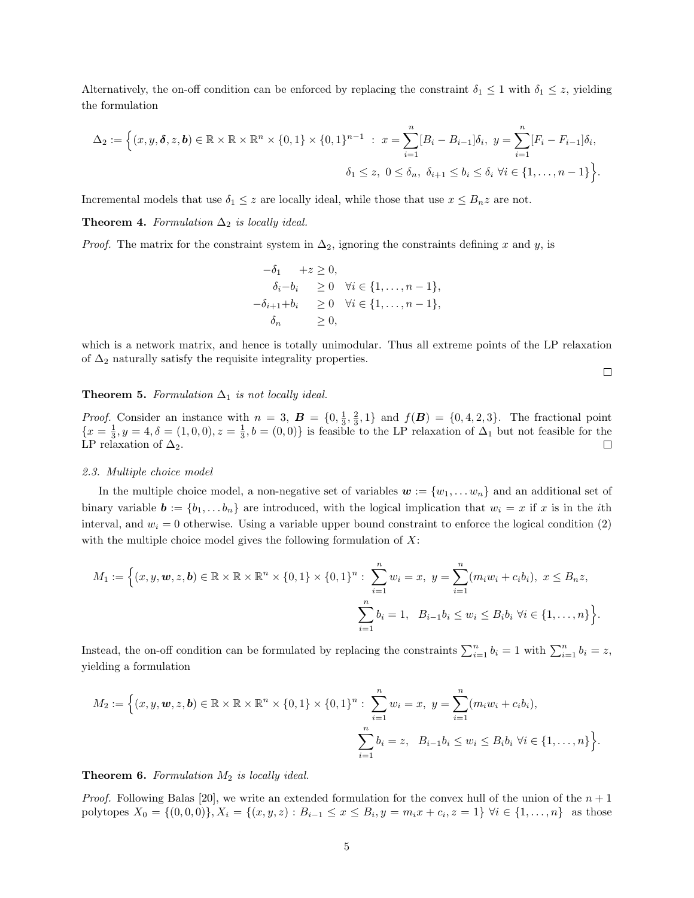Alternatively, the on-off condition can be enforced by replacing the constraint  $\delta_1 \leq 1$  with  $\delta_1 \leq z$ , yielding the formulation

$$
\Delta_2 := \Big\{ (x, y, \delta, z, \mathbf{b}) \in \mathbb{R} \times \mathbb{R} \times \mathbb{R}^n \times \{0, 1\} \times \{0, 1\}^{n-1} : x = \sum_{i=1}^n [B_i - B_{i-1}] \delta_i, y = \sum_{i=1}^n [F_i - F_{i-1}] \delta_i,
$$
  

$$
\delta_1 \le z, 0 \le \delta_n, \ \delta_{i+1} \le b_i \le \delta_i \ \forall i \in \{1, ..., n-1\} \Big\}.
$$

Incremental models that use  $\delta_1 \leq z$  are locally ideal, while those that use  $x \leq B_n z$  are not.

Theorem 4. Formulation  $\Delta_2$  is locally ideal.

*Proof.* The matrix for the constraint system in  $\Delta_2$ , ignoring the constraints defining x and y, is

$$
-\delta_1 + z \ge 0,
$$
  
\n
$$
\delta_i - b_i \ge 0 \quad \forall i \in \{1, ..., n-1\},
$$
  
\n
$$
-\delta_{i+1} + b_i \ge 0 \quad \forall i \in \{1, ..., n-1\},
$$
  
\n
$$
\delta_n \ge 0,
$$

which is a network matrix, and hence is totally unimodular. Thus all extreme points of the LP relaxation of  $\Delta_2$  naturally satisfy the requisite integrality properties.

Theorem 5. Formulation  $\Delta_1$  is not locally ideal.

*Proof.* Consider an instance with  $n = 3$ ,  $\mathbf{B} = \{0, \frac{1}{3}, \frac{2}{3}, 1\}$  and  $f(\mathbf{B}) = \{0, 4, 2, 3\}$ . The fractional point  ${x = \frac{1}{3}, y = 4, \delta = (1, 0, 0), z = \frac{1}{3}, b = (0, 0)}$  is feasible to the LP relaxation of  $\Delta_1$  but not feasible for the LP relaxation of  $\Delta_2$ .  $\Box$ 

#### 2.3. Multiple choice model

In the multiple choice model, a non-negative set of variables  $w := \{w_1, \ldots w_n\}$  and an additional set of binary variable  $\mathbf{b} := \{b_1, \ldots, b_n\}$  are introduced, with the logical implication that  $w_i = x$  if x is in the *i*th interval, and  $w_i = 0$  otherwise. Using a variable upper bound constraint to enforce the logical condition (2) with the multiple choice model gives the following formulation of  $X$ :

$$
M_1 := \Big\{ (x, y, \mathbf{w}, z, \mathbf{b}) \in \mathbb{R} \times \mathbb{R} \times \mathbb{R}^n \times \{0, 1\} \times \{0, 1\}^n : \sum_{i=1}^n w_i = x, \ y = \sum_{i=1}^n (m_i w_i + c_i b_i), \ x \leq B_n z, \\ \sum_{i=1}^n b_i = 1, \ B_{i-1} b_i \leq w_i \leq B_i b_i \ \forall i \in \{1, \dots, n\} \Big\}.
$$

Instead, the on-off condition can be formulated by replacing the constraints  $\sum_{i=1}^{n} b_i = 1$  with  $\sum_{i=1}^{n} b_i = z$ , yielding a formulation

$$
M_2 := \Big\{ (x, y, \mathbf{w}, z, \mathbf{b}) \in \mathbb{R} \times \mathbb{R} \times \mathbb{R}^n \times \{0, 1\} \times \{0, 1\}^n : \sum_{i=1}^n w_i = x, \ y = \sum_{i=1}^n (m_i w_i + c_i b_i),
$$
  

$$
\sum_{i=1}^n b_i = z, \ B_{i-1} b_i \leq w_i \leq B_i b_i \ \forall i \in \{1, ..., n\} \Big\}.
$$

## **Theorem 6.** Formulation  $M_2$  is locally ideal.

*Proof.* Following Balas [20], we write an extended formulation for the convex hull of the union of the  $n + 1$ polytopes  $X_0 = \{(0,0,0)\}, X_i = \{(x,y,z) : B_{i-1} \le x \le B_i, y = m_i x + c_i, z = 1\} \forall i \in \{1, ..., n\}$  as those

 $\Box$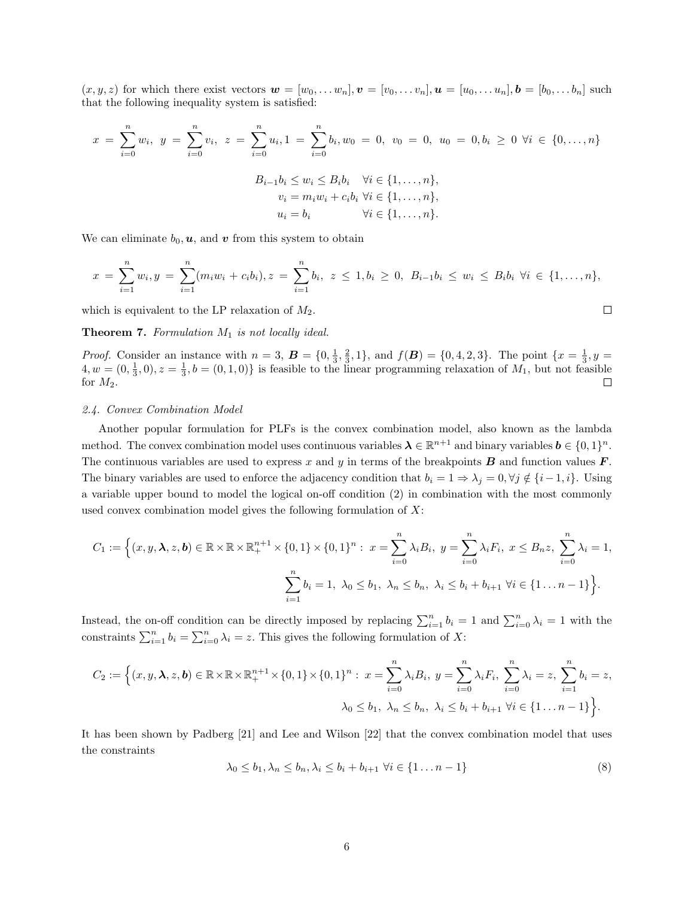$(x, y, z)$  for which there exist vectors  $\mathbf{w} = [w_0, \dots w_n], \mathbf{v} = [v_0, \dots v_n], \mathbf{u} = [u_0, \dots u_n], \mathbf{b} = [b_0, \dots b_n]$  such that the following inequality system is satisfied:

$$
x = \sum_{i=0}^{n} w_i, \ y = \sum_{i=0}^{n} v_i, \ z = \sum_{i=0}^{n} u_i, 1 = \sum_{i=0}^{n} b_i, w_0 = 0, \ v_0 = 0, \ u_0 = 0, b_i \ge 0 \ \forall i \in \{0, ..., n\}
$$

$$
B_{i-1}b_i \le w_i \le B_i b_i \quad \forall i \in \{1, ..., n\},
$$

$$
v_i = m_i w_i + c_i b_i \ \forall i \in \{1, ..., n\},
$$

$$
u_i = b_i \qquad \forall i \in \{1, ..., n\}.
$$

We can eliminate  $b_0, \mathbf{u}$ , and  $\mathbf{v}$  from this system to obtain

$$
x = \sum_{i=1}^{n} w_i, y = \sum_{i=1}^{n} (m_i w_i + c_i b_i), z = \sum_{i=1}^{n} b_i, z \le 1, b_i \ge 0, B_{i-1} b_i \le w_i \le B_i b_i \ \forall i \in \{1, ..., n\},
$$

 $\Box$ 

which is equivalent to the LP relaxation of  $M_2$ .

**Theorem 7.** Formulation  $M_1$  is not locally ideal.

*Proof.* Consider an instance with  $n = 3$ ,  $\mathbf{B} = \{0, \frac{1}{3}, \frac{2}{3}, 1\}$ , and  $f(\mathbf{B}) = \{0, 4, 2, 3\}$ . The point  $\{x = \frac{1}{3}, y = \frac{1}{3}\}$  $4, w = (0, \frac{1}{3}, 0), z = \frac{1}{3}, b = (0, 1, 0)$  is feasible to the linear programming relaxation of  $M_1$ , but not feasible for  $M_2$ .  $\Box$ 

## 2.4. Convex Combination Model

Another popular formulation for PLFs is the convex combination model, also known as the lambda method. The convex combination model uses continuous variables  $\lambda \in \mathbb{R}^{n+1}$  and binary variables  $b \in \{0,1\}^n$ . The continuous variables are used to express x and y in terms of the breakpoints  $B$  and function values  $F$ . The binary variables are used to enforce the adjacency condition that  $b_i = 1 \Rightarrow \lambda_j = 0, \forall j \notin \{i-1, i\}$ . Using a variable upper bound to model the logical on-off condition (2) in combination with the most commonly used convex combination model gives the following formulation of  $X$ :

$$
C_1 := \Big\{ (x, y, \lambda, z, b) \in \mathbb{R} \times \mathbb{R} \times \mathbb{R}^{n+1} \times \{0, 1\} \times \{0, 1\}^n : \ x = \sum_{i=0}^n \lambda_i B_i, \ y = \sum_{i=0}^n \lambda_i F_i, \ x \le B_n z, \ \sum_{i=0}^n \lambda_i = 1, \ X_0 \le b_1, \ \lambda_0 \le b_1, \ \lambda_n \le b_n, \ \lambda_i \le b_i + b_{i+1} \ \forall i \in \{1 \dots n-1\} \Big\}.
$$

Instead, the on-off condition can be directly imposed by replacing  $\sum_{i=1}^{n} b_i = 1$  and  $\sum_{i=0}^{n} \lambda_i = 1$  with the constraints  $\sum_{i=1}^{n} b_i = \sum_{i=0}^{n} \lambda_i = z$ . This gives the following formulation of X:

$$
C_2 := \Big\{ (x, y, \lambda, z, b) \in \mathbb{R} \times \mathbb{R} \times \mathbb{R}^{n+1}_+ \times \{0, 1\} \times \{0, 1\}^n : x = \sum_{i=0}^n \lambda_i B_i, y = \sum_{i=0}^n \lambda_i F_i, \sum_{i=0}^n \lambda_i = z, \sum_{i=1}^n b_i = z, \lambda_0 \le b_1, \lambda_n \le b_n, \lambda_i \le b_i + b_{i+1} \ \forall i \in \{1 \dots n-1\} \Big\}.
$$

It has been shown by Padberg [21] and Lee and Wilson [22] that the convex combination model that uses the constraints

$$
\lambda_0 \le b_1, \lambda_n \le b_n, \lambda_i \le b_i + b_{i+1} \ \forall i \in \{1 \dots n-1\}
$$
\n
$$
(8)
$$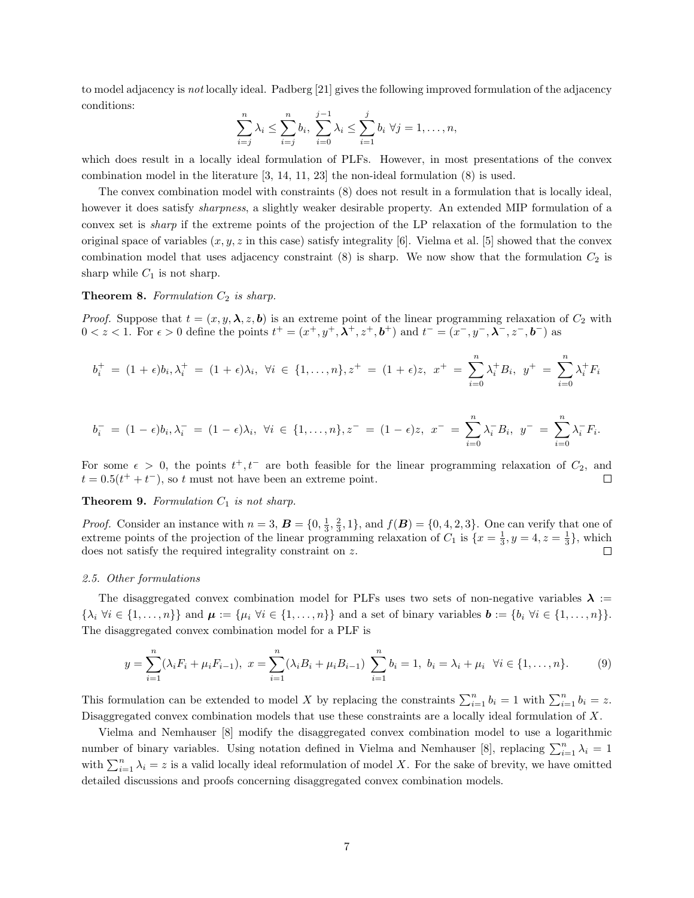to model adjacency is not locally ideal. Padberg [21] gives the following improved formulation of the adjacency conditions:

$$
\sum_{i=j}^{n} \lambda_i \le \sum_{i=j}^{n} b_i, \ \sum_{i=0}^{j-1} \lambda_i \le \sum_{i=1}^{j} b_i \ \forall j = 1, \dots, n,
$$

which does result in a locally ideal formulation of PLFs. However, in most presentations of the convex combination model in the literature [3, 14, 11, 23] the non-ideal formulation (8) is used.

The convex combination model with constraints (8) does not result in a formulation that is locally ideal, however it does satisfy *sharpness*, a slightly weaker desirable property. An extended MIP formulation of a convex set is sharp if the extreme points of the projection of the LP relaxation of the formulation to the original space of variables  $(x, y, z)$  in this case) satisfy integrality [6]. Vielma et al. [5] showed that the convex combination model that uses adjacency constraint  $(8)$  is sharp. We now show that the formulation  $C_2$  is sharp while  $C_1$  is not sharp.

#### **Theorem 8.** Formulation  $C_2$  is sharp.

*Proof.* Suppose that  $t = (x, y, \lambda, z, b)$  is an extreme point of the linear programming relaxation of  $C_2$  with  $0 < z < 1$ . For  $\epsilon > 0$  define the points  $t^+ = (x^+, y^+, \lambda^+, z^+, b^+)$  and  $t^- = (x^-, y^-, \lambda^-, z^-, b^-)$  as

$$
b_i^+ = (1 + \epsilon)b_i, \lambda_i^+ = (1 + \epsilon)\lambda_i, \ \forall i \in \{1, ..., n\}, z^+ = (1 + \epsilon)z, \ x^+ = \sum_{i=0}^n \lambda_i^+ B_i, \ y^+ = \sum_{i=0}^n \lambda_i^+ F_i
$$

$$
b_i^- = (1 - \epsilon)b_i, \lambda_i^- = (1 - \epsilon)\lambda_i, \ \forall i \in \{1, ..., n\}, z^- = (1 - \epsilon)z, \ x^- = \sum_{i=0}^n \lambda_i^- B_i, \ y^- = \sum_{i=0}^n \lambda_i^- F_i.
$$

For some  $\epsilon > 0$ , the points  $t^+, t^-$  are both feasible for the linear programming relaxation of  $C_2$ , and  $t = 0.5(t^+ + t^-)$ , so t must not have been an extreme point. П

#### **Theorem 9.** Formulation  $C_1$  is not sharp.

*Proof.* Consider an instance with  $n = 3$ ,  $\mathbf{B} = \{0, \frac{1}{3}, \frac{2}{3}, 1\}$ , and  $f(\mathbf{B}) = \{0, 4, 2, 3\}$ . One can verify that one of extreme points of the projection of the linear programming relaxation of  $C_1$  is  $\{x=\frac{1}{3}, y=4, z=\frac{1}{3}\}$ , which does not satisfy the required integrality constraint on z. П

# 2.5. Other formulations

The disaggregated convex combination model for PLFs uses two sets of non-negative variables  $\lambda :=$  $\{\lambda_i \,\forall i \in \{1,\ldots,n\}\}\$  and  $\boldsymbol{\mu} := \{\mu_i \,\forall i \in \{1,\ldots,n\}\}\$  and a set of binary variables  $\boldsymbol{b} := \{b_i \,\forall i \in \{1,\ldots,n\}\}\$ . The disaggregated convex combination model for a PLF is

$$
y = \sum_{i=1}^{n} (\lambda_i F_i + \mu_i F_{i-1}), \ x = \sum_{i=1}^{n} (\lambda_i B_i + \mu_i B_{i-1}) \sum_{i=1}^{n} b_i = 1, \ b_i = \lambda_i + \mu_i \ \forall i \in \{1, \dots, n\}.
$$
 (9)

This formulation can be extended to model X by replacing the constraints  $\sum_{i=1}^{n} b_i = 1$  with  $\sum_{i=1}^{n} b_i = z$ . Disaggregated convex combination models that use these constraints are a locally ideal formulation of X.

Vielma and Nemhauser [8] modify the disaggregated convex combination model to use a logarithmic number of binary variables. Using notation defined in Vielma and Nemhauser [8], replacing  $\sum_{i=1}^{n} \lambda_i = 1$ with  $\sum_{i=1}^{n} \lambda_i = z$  is a valid locally ideal reformulation of model X. For the sake of brevity, we have omitted detailed discussions and proofs concerning disaggregated convex combination models.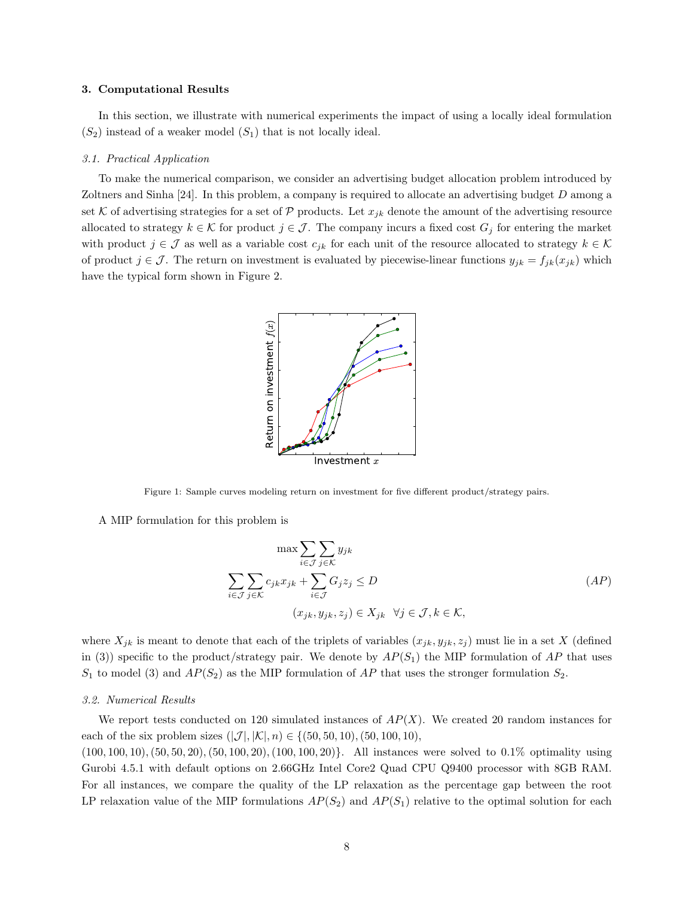#### 3. Computational Results

In this section, we illustrate with numerical experiments the impact of using a locally ideal formulation  $(S_2)$  instead of a weaker model  $(S_1)$  that is not locally ideal.

#### 3.1. Practical Application

To make the numerical comparison, we consider an advertising budget allocation problem introduced by Zoltners and Sinha [24]. In this problem, a company is required to allocate an advertising budget D among a set K of advertising strategies for a set of P products. Let  $x_{jk}$  denote the amount of the advertising resource allocated to strategy  $k \in \mathcal{K}$  for product  $j \in \mathcal{J}$ . The company incurs a fixed cost  $G_j$  for entering the market with product  $j \in \mathcal{J}$  as well as a variable cost  $c_{jk}$  for each unit of the resource allocated to strategy  $k \in \mathcal{K}$ of product  $j \in \mathcal{J}$ . The return on investment is evaluated by piecewise-linear functions  $y_{jk} = f_{jk}(x_{jk})$  which have the typical form shown in Figure 2.



Figure 1: Sample curves modeling return on investment for five different product/strategy pairs.

A MIP formulation for this problem is

$$
\max \sum_{i \in \mathcal{J}} \sum_{j \in \mathcal{K}} y_{jk}
$$
\n
$$
\sum_{i \in \mathcal{J}} \sum_{j \in \mathcal{K}} c_{jk} x_{jk} + \sum_{i \in \mathcal{J}} G_j z_j \le D
$$
\n
$$
(x_{jk}, y_{jk}, z_j) \in X_{jk} \quad \forall j \in \mathcal{J}, k \in \mathcal{K},
$$
\n
$$
(AP)
$$

where  $X_{jk}$  is meant to denote that each of the triplets of variables  $(x_{jk}, y_{jk}, z_j)$  must lie in a set X (defined in (3)) specific to the product/strategy pair. We denote by  $AP(S_1)$  the MIP formulation of AP that uses  $S_1$  to model (3) and  $AP(S_2)$  as the MIP formulation of AP that uses the stronger formulation  $S_2$ .

#### 3.2. Numerical Results

We report tests conducted on 120 simulated instances of  $AP(X)$ . We created 20 random instances for each of the six problem sizes  $(|\mathcal{J}|, |\mathcal{K}|, n) \in \{(50, 50, 10), (50, 100, 10),$ 

(100, 100, 10),(50, 50, 20),(50, 100, 20),(100, 100, 20)}. All instances were solved to 0.1% optimality using Gurobi 4.5.1 with default options on 2.66GHz Intel Core2 Quad CPU Q9400 processor with 8GB RAM. For all instances, we compare the quality of the LP relaxation as the percentage gap between the root LP relaxation value of the MIP formulations  $AP(S_2)$  and  $AP(S_1)$  relative to the optimal solution for each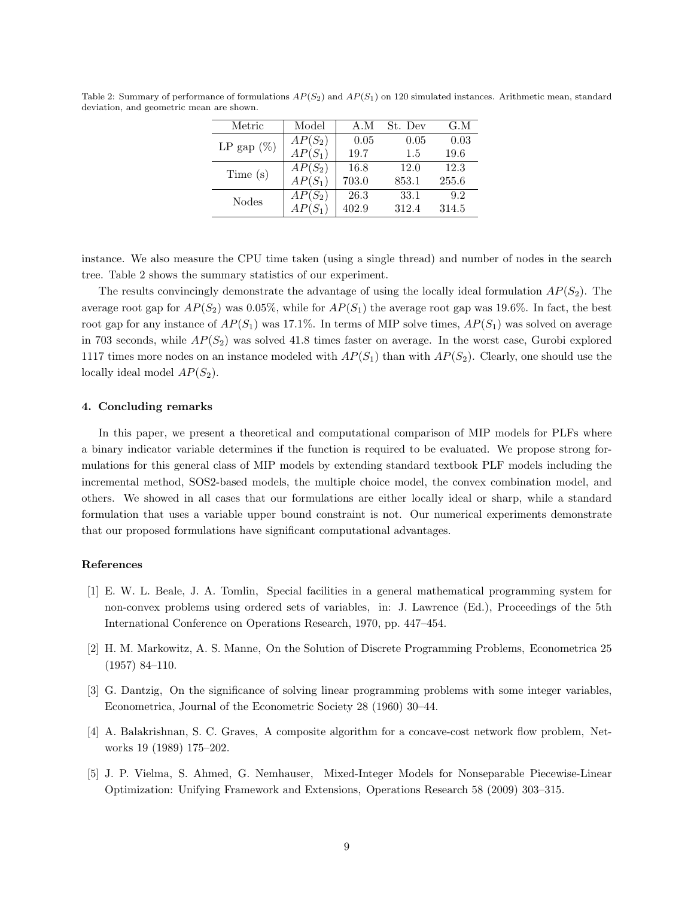| Metric        | Model     | A.M   | St. Dev | G.M   |
|---------------|-----------|-------|---------|-------|
| LP gap $(\%)$ | $AP(S_2)$ | 0.05  | 0.05    | 0.03  |
|               | $AP(S_1)$ | 19.7  | 1.5     | 19.6  |
| Time(s)       | $AP(S_2)$ | 16.8  | 12.0    | 12.3  |
|               | $AP(S_1)$ | 703.0 | 853.1   | 255.6 |
| <b>Nodes</b>  | $AP(S_2)$ | 26.3  | 33.1    | 9.2   |
|               | $AP(S_1)$ | 402.9 | 312.4   | 314.5 |
|               |           |       |         |       |

Table 2: Summary of performance of formulations  $AP(S_2)$  and  $AP(S_1)$  on 120 simulated instances. Arithmetic mean, standard deviation, and geometric mean are shown.

instance. We also measure the CPU time taken (using a single thread) and number of nodes in the search tree. Table 2 shows the summary statistics of our experiment.

The results convincingly demonstrate the advantage of using the locally ideal formulation  $AP(S_2)$ . The average root gap for  $AP(S_2)$  was 0.05%, while for  $AP(S_1)$  the average root gap was 19.6%. In fact, the best root gap for any instance of  $AP(S_1)$  was 17.1%. In terms of MIP solve times,  $AP(S_1)$  was solved on average in 703 seconds, while  $AP(S_2)$  was solved 41.8 times faster on average. In the worst case, Gurobi explored 1117 times more nodes on an instance modeled with  $AP(S_1)$  than with  $AP(S_2)$ . Clearly, one should use the locally ideal model  $AP(S_2)$ .

#### 4. Concluding remarks

In this paper, we present a theoretical and computational comparison of MIP models for PLFs where a binary indicator variable determines if the function is required to be evaluated. We propose strong formulations for this general class of MIP models by extending standard textbook PLF models including the incremental method, SOS2-based models, the multiple choice model, the convex combination model, and others. We showed in all cases that our formulations are either locally ideal or sharp, while a standard formulation that uses a variable upper bound constraint is not. Our numerical experiments demonstrate that our proposed formulations have significant computational advantages.

# References

- [1] E. W. L. Beale, J. A. Tomlin, Special facilities in a general mathematical programming system for non-convex problems using ordered sets of variables, in: J. Lawrence (Ed.), Proceedings of the 5th International Conference on Operations Research, 1970, pp. 447–454.
- [2] H. M. Markowitz, A. S. Manne, On the Solution of Discrete Programming Problems, Econometrica 25 (1957) 84–110.
- [3] G. Dantzig, On the significance of solving linear programming problems with some integer variables, Econometrica, Journal of the Econometric Society 28 (1960) 30–44.
- [4] A. Balakrishnan, S. C. Graves, A composite algorithm for a concave-cost network flow problem, Networks 19 (1989) 175–202.
- [5] J. P. Vielma, S. Ahmed, G. Nemhauser, Mixed-Integer Models for Nonseparable Piecewise-Linear Optimization: Unifying Framework and Extensions, Operations Research 58 (2009) 303–315.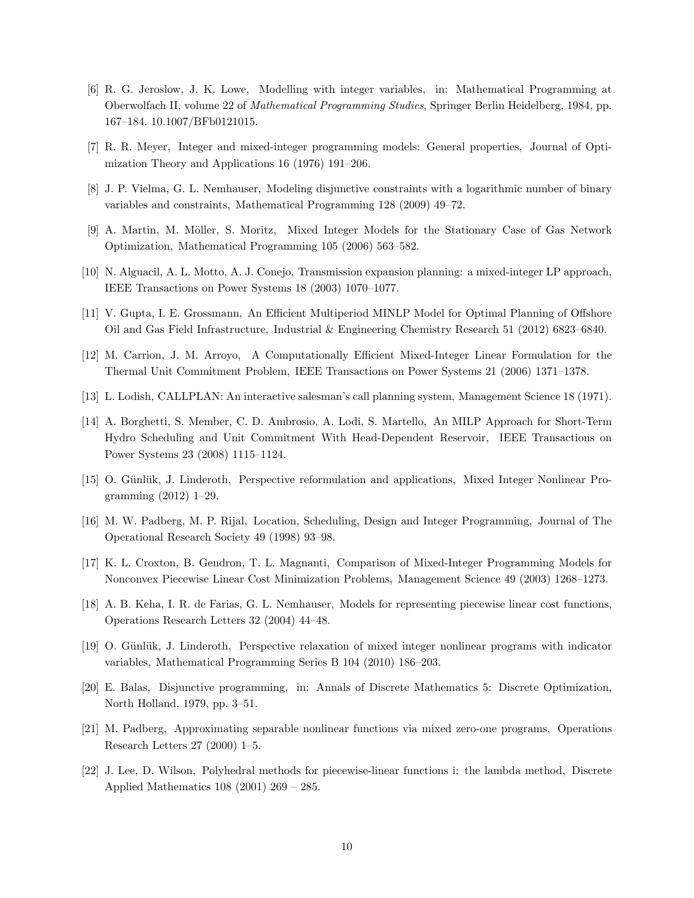- [6] R. G. Jeroslow, J. K. Lowe, Modelling with integer variables, in: Mathematical Programming at Oberwolfach II, volume 22 of Mathematical Programming Studies, Springer Berlin Heidelberg, 1984, pp. 167–184. 10.1007/BFb0121015.
- [7] R. R. Meyer, Integer and mixed-integer programming models: General properties, Journal of Optimization Theory and Applications 16 (1976) 191–206.
- [8] J. P. Vielma, G. L. Nemhauser, Modeling disjunctive constraints with a logarithmic number of binary variables and constraints, Mathematical Programming 128 (2009) 49–72.
- [9] A. Martin, M. Möller, S. Moritz, Mixed Integer Models for the Stationary Case of Gas Network Optimization, Mathematical Programming 105 (2006) 563–582.
- [10] N. Alguacil, A. L. Motto, A. J. Conejo, Transmission expansion planning: a mixed-integer LP approach, IEEE Transactions on Power Systems 18 (2003) 1070–1077.
- [11] V. Gupta, I. E. Grossmann, An Efficient Multiperiod MINLP Model for Optimal Planning of Offshore Oil and Gas Field Infrastructure, Industrial & Engineering Chemistry Research 51 (2012) 6823–6840.
- [12] M. Carrion, J. M. Arroyo, A Computationally Efficient Mixed-Integer Linear Formulation for the Thermal Unit Commitment Problem, IEEE Transactions on Power Systems 21 (2006) 1371–1378.
- [13] L. Lodish, CALLPLAN: An interactive salesman's call planning system, Management Science 18 (1971).
- [14] A. Borghetti, S. Member, C. D. Ambrosio, A. Lodi, S. Martello, An MILP Approach for Short-Term Hydro Scheduling and Unit Commitment With Head-Dependent Reservoir, IEEE Transactions on Power Systems 23 (2008) 1115–1124.
- [15] O. Günlük, J. Linderoth, Perspective reformulation and applications, Mixed Integer Nonlinear Programming (2012) 1–29.
- [16] M. W. Padberg, M. P. Rijal, Location, Scheduling, Design and Integer Programming, Journal of The Operational Research Society 49 (1998) 93–98.
- [17] K. L. Croxton, B. Gendron, T. L. Magnanti, Comparison of Mixed-Integer Programming Models for Nonconvex Piecewise Linear Cost Minimization Problems, Management Science 49 (2003) 1268–1273.
- [18] A. B. Keha, I. R. de Farias, G. L. Nemhauser, Models for representing piecewise linear cost functions, Operations Research Letters 32 (2004) 44–48.
- [19] O. Günlük, J. Linderoth, Perspective relaxation of mixed integer nonlinear programs with indicator variables, Mathematical Programming Series B 104 (2010) 186–203.
- [20] E. Balas, Disjunctive programming, in: Annals of Discrete Mathematics 5: Discrete Optimization, North Holland, 1979, pp. 3–51.
- [21] M. Padberg, Approximating separable nonlinear functions via mixed zero-one programs, Operations Research Letters 27 (2000) 1–5.
- [22] J. Lee, D. Wilson, Polyhedral methods for piecewise-linear functions i: the lambda method, Discrete Applied Mathematics 108 (2001) 269 – 285.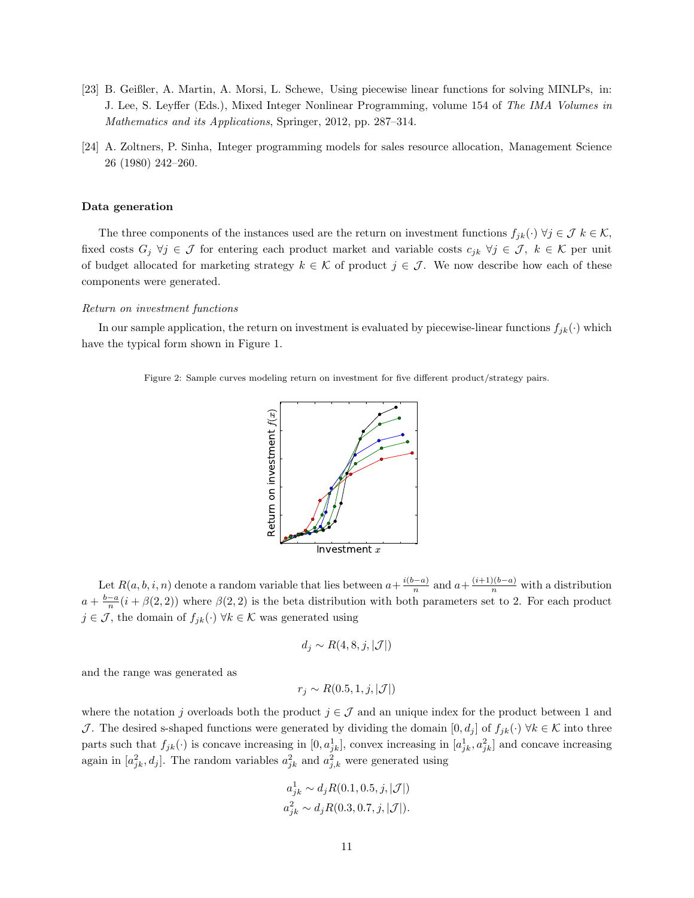- [23] B. Geißler, A. Martin, A. Morsi, L. Schewe, Using piecewise linear functions for solving MINLPs, in: J. Lee, S. Leyffer (Eds.), Mixed Integer Nonlinear Programming, volume 154 of The IMA Volumes in Mathematics and its Applications, Springer, 2012, pp. 287–314.
- [24] A. Zoltners, P. Sinha, Integer programming models for sales resource allocation, Management Science 26 (1980) 242–260.

# Data generation

The three components of the instances used are the return on investment functions  $f_{jk}(\cdot) \forall j \in \mathcal{J} k \in \mathcal{K}$ , fixed costs  $G_j \ \forall j \in \mathcal{J}$  for entering each product market and variable costs  $c_{jk} \ \forall j \in \mathcal{J}, k \in \mathcal{K}$  per unit of budget allocated for marketing strategy  $k \in \mathcal{K}$  of product  $j \in \mathcal{J}$ . We now describe how each of these components were generated.

#### Return on investment functions

In our sample application, the return on investment is evaluated by piecewise-linear functions  $f_{jk}(\cdot)$  which have the typical form shown in Figure 1.

Figure 2: Sample curves modeling return on investment for five different product/strategy pairs.



Let  $R(a, b, i, n)$  denote a random variable that lies between  $a + \frac{i(b-a)}{n}$  $\frac{(-a)}{n}$  and  $a + \frac{(i+1)(b-a)}{n}$  with a distribution  $a + \frac{b-a}{n}(i + \beta(2, 2))$  where  $\beta(2, 2)$  is the beta distribution with both parameters set to 2. For each product  $j \in \mathcal{J}$ , the domain of  $f_{ik}(\cdot)$   $\forall k \in \mathcal{K}$  was generated using

$$
d_j \sim R(4,8,j,|\mathcal{J}|)
$$

and the range was generated as

$$
r_j \sim R(0.5, 1, j, |\mathcal{J}|)
$$

where the notation j overloads both the product  $j \in \mathcal{J}$  and an unique index for the product between 1 and J. The desired s-shaped functions were generated by dividing the domain  $[0, d_i]$  of  $f_{ik}(\cdot) \forall k \in \mathcal{K}$  into three parts such that  $f_{jk}(\cdot)$  is concave increasing in  $[0, a_{jk}^1]$ , convex increasing in  $[a_{jk}^1, a_{jk}^2]$  and concave increasing again in  $[a_{jk}^2, d_j]$ . The random variables  $a_{jk}^2$  and  $a_{jk}^2$  were generated using

$$
a_{jk}^1 \sim d_j R(0.1, 0.5, j, |\mathcal{J}|)
$$
  
 $a_{jk}^2 \sim d_j R(0.3, 0.7, j, |\mathcal{J}|).$